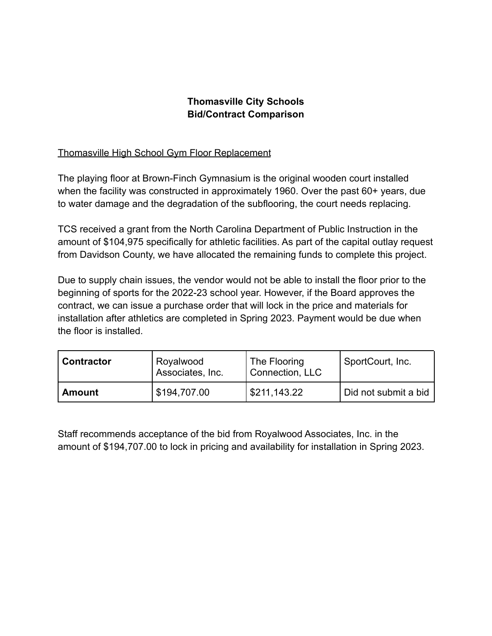## **Thomasville City Schools Bid/Contract Comparison**

## Thomasville High School Gym Floor Replacement

The playing floor at Brown-Finch Gymnasium is the original wooden court installed when the facility was constructed in approximately 1960. Over the past 60+ years, due to water damage and the degradation of the subflooring, the court needs replacing.

TCS received a grant from the North Carolina Department of Public Instruction in the amount of \$104,975 specifically for athletic facilities. As part of the capital outlay request from Davidson County, we have allocated the remaining funds to complete this project.

Due to supply chain issues, the vendor would not be able to install the floor prior to the beginning of sports for the 2022-23 school year. However, if the Board approves the contract, we can issue a purchase order that will lock in the price and materials for installation after athletics are completed in Spring 2023. Payment would be due when the floor is installed.

| <b>' Contractor</b> | Royalwood<br>Associates, Inc. | The Flooring<br>Connection, LLC | SportCourt, Inc.     |
|---------------------|-------------------------------|---------------------------------|----------------------|
| <b>Amount</b>       | \$194,707.00                  | 5211,143.22                     | Did not submit a bid |

Staff recommends acceptance of the bid from Royalwood Associates, Inc. in the amount of \$194,707.00 to lock in pricing and availability for installation in Spring 2023.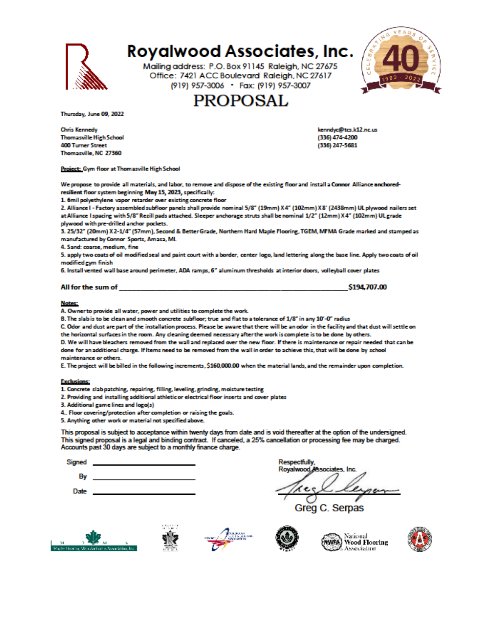

# **Royalwood Associates, Inc.**

Mailing address: P.O. Box 91145 Raleigh, NC 27675 Office: 7421 ACC Boulevard Raleigh, NC 27617 (919) 957-3006 · Fax: (919) 957-3007

# **PROPOSAL**



Thursday, June 09, 2022

**Chris Kennedy Thomasville High School 400 Turner Street** Thomasville, NC 27360

Project: Gym floor at Thomasville High School

kenndyc@tcs.k12.nc.us (336) 474-4200 (336) 247-5681

We propose to provide all materials, and labor, to remove and dispose of the existing floor and install a Connor Alliance anchoredresilient floor system beginning May 15, 2023, specifically:

1. 6mil polyethylene vapor retarder over existing concrete floor

2. Alliance I - Factory assembled subfloor panels shall provide nominal 5/8" (19mm) X4" (102mm) X8" (2438mm) UL plywood nailers set at Alliance I spacing with 5/8" Rezill pads attached. Sleeper anchorage struts shall be nominal 1/2" (12mm) X4" (102mm) UL grade plywood with pre-drilled anchor pockets.

3. 25/32" (20mm) X 2-1/4" (57mm), Second & Better Grade, Northern Hard Maple Flooring, TGEM, MFMA Grade marked and stamped as manufactured by Connor Sports, Amasa, MI.

4. Sand: coarse, medium, fine

5. apply two coats of oil modified seal and paint court with a border, center logo, land lettering along the base line. Apply two coats of oil modified gym finish

6. Install vented wall base around perimeter, ADA ramps, 6" aluminum thresholds at interior doors, volleyball cover plates

#### All for the sum of

\$194,707.00

#### **Notes:**

A. Owner to provide all water, power and utilities to complete the work.

B. The slab is to be clean and smooth concrete subfloor; true and flat to a tolerance of 1/8" in any 10'-0" radius

C. Odor and dust are part of the installation process. Please be aware that there will be an odor in the facility and that dust will settle on the horizontal surfaces in the room. Any cleaning deemed necessary after the work is complete is to be done by others.

D. We will have bleachers removed from the wall and replaced over the new floor. If there is maintenance or repair needed that can be done for an additional charge. If Items need to be removed from the wall in order to achieve this, that will be done by school maintenance or others.

E. The project will be billed in the following increments, \$160,000.00 when the material lands, and the remainder upon completion.

#### **Exclusions:**

1. Concrete slab patching, repairing, filling, leveling, grinding, moisture testing

2. Providing and installing additional athletic or electrical floor inserts and cover plates

3. Additional game lines and logo(s)

4. Floor covering/protection after completion or raising the goals.

5. Anything other work or material not specified above.

This proposal is subject to acceptance within twenty days from date and is void thereafter at the option of the undersigned. This signed proposal is a legal and binding contract. If canceled, a 25% cancellation or processing fee may be charged. Accounts past 30 days are subject to a monthly finance charge.

| signed |  |
|--------|--|
|        |  |

By

Date

Greg C. Serpas









National WWFA) Wood Flooring Association



**Respectfully,** Royalwood Associates, Inc.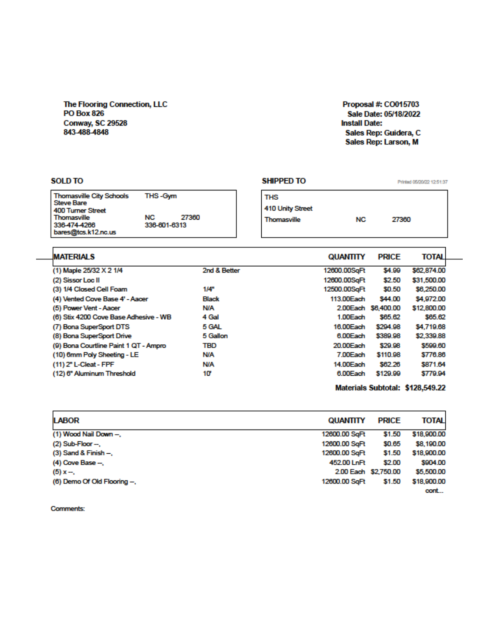## The Flooring Connection, LLC **PO Box 826** Conway, SC 29528<br>843-488-4848

### Proposal #: CO015703 Sale Date: 05/18/2022 **Install Date:** Sales Rep: Guidera, C Sales Rep: Larson, M

| <b>SOLD TO</b>                                                                                                                                                                    |              | <b>SHIPPED TO</b>                             |                 |                     | Printed 05/20/22 12:51:37        |
|-----------------------------------------------------------------------------------------------------------------------------------------------------------------------------------|--------------|-----------------------------------------------|-----------------|---------------------|----------------------------------|
| THS-Gym<br><b>Thomasville City Schools</b><br><b>Steve Bare</b><br><b>400 Turner Street</b><br>NC.<br>27360<br>Thomasville<br>336-474-4266<br>336-601-6313<br>bares@tcs.k12.nc.us |              | <b>THS</b><br>410 Unity Street<br>Thomasville | <b>NC</b>       | 27360               |                                  |
| <b>MATERIALS</b>                                                                                                                                                                  |              |                                               | <b>QUANTITY</b> | <b>PRICE</b>        | TOTAL                            |
| (1) Maple 25/32 X 2 1/4                                                                                                                                                           | 2nd & Better |                                               | 12600.00SqFt    | \$4.99              | \$62,874.00                      |
| (2) Sissor Loc II                                                                                                                                                                 |              |                                               | 12600.00SqFt    | \$2.50              | \$31,500.00                      |
| (3) 1/4 Closed Cell Foam                                                                                                                                                          | 1/4"         |                                               | 12500.00SqFt    | \$0.50              | \$6,250.00                       |
| (4) Vented Cove Base 4' - Aacer                                                                                                                                                   | <b>Black</b> |                                               | 113.00 Each     | \$44.00             | \$4,972.00                       |
| (5) Power Vent - Aacer                                                                                                                                                            | <b>N/A</b>   |                                               |                 | 2,00Each \$6,400.00 | \$12,800.00                      |
| (6) Stix 4200 Cove Base Adhesive - WB                                                                                                                                             | 4 Gal        |                                               | 1.00Each        | \$65.62             | \$65.62                          |
| (7) Bona SuperSport DTS                                                                                                                                                           | 5 GAL        |                                               | 16.00 Each      | \$294.98            | \$4,719.68                       |
| (8) Bona SuperSport Drive                                                                                                                                                         | 5 Gallon     |                                               | 6.00Each        | \$389.98            | \$2,339.88                       |
| (9) Bona Courtline Paint 1 QT - Ampro                                                                                                                                             | TBD          |                                               | 20.00 Each      | \$29.98             | \$599.60                         |
| (10) 6mm Poly Sheeting - LE                                                                                                                                                       | <b>N/A</b>   |                                               | 7.00Each        | \$110.98            | \$776.86                         |
| (11) 2" L-Cleat - FPF                                                                                                                                                             | <b>N/A</b>   |                                               | 14.00 Each      | \$62.26             | \$871.64                         |
| (12) 6" Aluminum Threshold                                                                                                                                                        | 10'          |                                               | 6.00Each        | \$129.99            | \$779.94                         |
|                                                                                                                                                                                   |              |                                               |                 |                     | Materials Subtotal: \$128,549.22 |

| <b>LABOR</b>                | <b>QUANTITY</b>      | <b>PRICE</b> | <b>TOTAL</b> |
|-----------------------------|----------------------|--------------|--------------|
| (1) Wood Nail Down -.       | 12600.00 SqFt        | \$1.50       | \$18,900.00  |
| $(2)$ Sub-Floor $-$ .       | 12600.00 SqFt        | \$0.65       | \$8,190.00   |
| $(3)$ Sand & Finish $-$ ,   | 12600.00 SqFt        | \$1.50       | \$18,900.00  |
| $(4)$ Cove Base $-$ .       | 452.00 LnFt          | \$2.00       | \$904.00     |
| $(5)$ x -                   | 2.00 Each \$2,750.00 |              | \$5,500.00   |
| (6) Demo Of Old Flooring -. | 12600.00 SqFt        | \$1.50       | \$18,900.00  |
|                             |                      |              | cont         |

Comments: